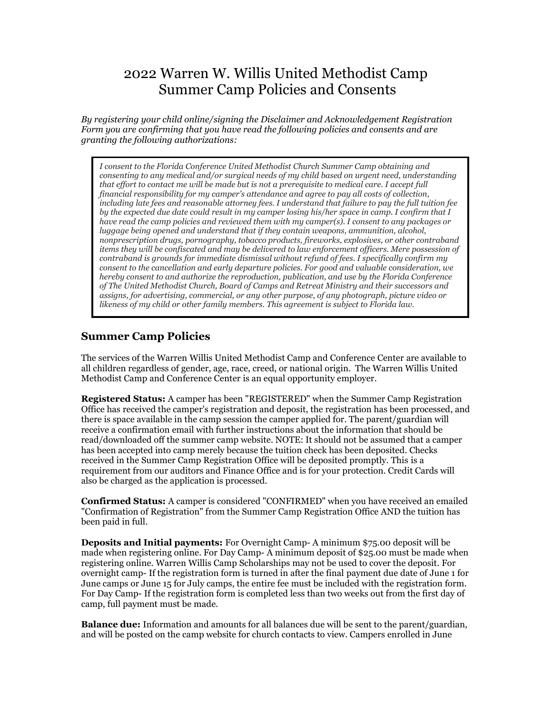# 2022 Warren W. Willis United Methodist Camp Summer Camp Policies and Consents

*By registering your child online/signing the Disclaimer and Acknowledgement Registration Form you are confirming that you have read the following policies and consents and are granting the following authorizations:*

*I consent to the Florida Conference United Methodist Church Summer Camp obtaining and consenting to any medical and/or surgical needs of my child based on urgent need, understanding that effort to contact me will be made but is not a prerequisite to medical care. I accept full financial responsibility for my camper's attendance and agree to pay all costs of collection, including late fees and reasonable attorney fees. I understand that failure to pay the full tuition fee by the expected due date could result in my camper losing his/her space in camp. I confirm that I have read the camp policies and reviewed them with my camper(s). I consent to any packages or luggage being opened and understand that if they contain weapons, ammunition, alcohol, nonprescription drugs, pornography, tobacco products, fireworks, explosives, or other contraband items they will be confiscated and may be delivered to law enforcement officers. Mere possession of contraband is grounds for immediate dismissal without refund of fees. I specifically confirm my consent to the cancellation and early departure policies. For good and valuable consideration, we hereby consent to and authorize the reproduction, publication, and use by the Florida Conference of The United Methodist Church, Board of Camps and Retreat Ministry and their successors and assigns, for advertising, commercial, or any other purpose, of any photograph, picture video or likeness of my child or other family members. This agreement is subject to Florida law.*

## **Summer Camp Policies**

The services of the Warren Willis United Methodist Camp and Conference Center are available to all children regardless of gender, age, race, creed, or national origin. The Warren Willis United Methodist Camp and Conference Center is an equal opportunity employer.

**Registered Status:** A camper has been "REGISTERED" when the Summer Camp Registration Office has received the camper's registration and deposit, the registration has been processed, and there is space available in the camp session the camper applied for. The parent/guardian will receive a confirmation email with further instructions about the information that should be read/downloaded off the summer camp website. NOTE: It should not be assumed that a camper has been accepted into camp merely because the tuition check has been deposited. Checks received in the Summer Camp Registration Office will be deposited promptly. This is a requirement from our auditors and Finance Office and is for your protection. Credit Cards will also be charged as the application is processed.

**Confirmed Status:** A camper is considered "CONFIRMED" when you have received an emailed "Confirmation of Registration" from the Summer Camp Registration Office AND the tuition has been paid in full.

**Deposits and Initial payments:** For Overnight Camp- A minimum \$75.00 deposit will be made when registering online. For Day Camp- A minimum deposit of \$25.00 must be made when registering online. Warren Willis Camp Scholarships may not be used to cover the deposit. For overnight camp- If the registration form is turned in after the final payment due date of June 1 for June camps or June 15 for July camps, the entire fee must be included with the registration form. For Day Camp- If the registration form is completed less than two weeks out from the first day of camp, full payment must be made.

**Balance due:** Information and amounts for all balances due will be sent to the parent/guardian, and will be posted on the camp website for church contacts to view. Campers enrolled in June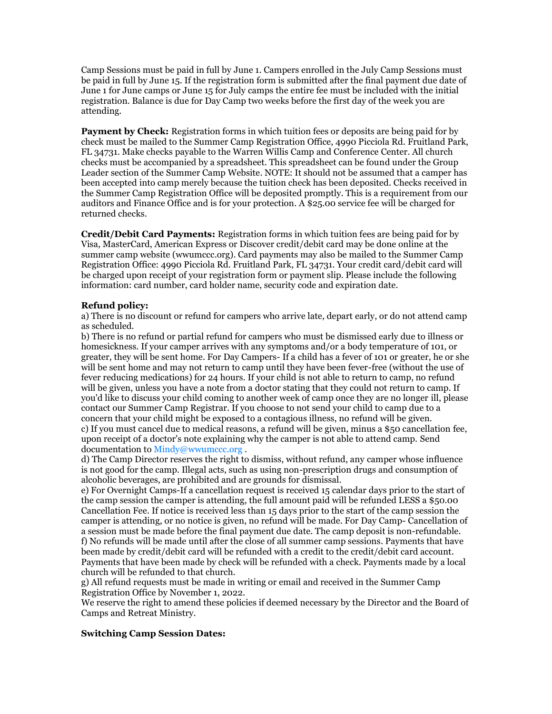Camp Sessions must be paid in full by June 1. Campers enrolled in the July Camp Sessions must be paid in full by June 15. If the registration form is submitted after the final payment due date of June 1 for June camps or June 15 for July camps the entire fee must be included with the initial registration. Balance is due for Day Camp two weeks before the first day of the week you are attending.

**Payment by Check:** Registration forms in which tuition fees or deposits are being paid for by check must be mailed to the Summer Camp Registration Office, 4990 Picciola Rd. Fruitland Park, FL 34731. Make checks payable to the Warren Willis Camp and Conference Center. All church checks must be accompanied by a spreadsheet. This spreadsheet can be found under the Group Leader section of the Summer Camp Website. NOTE: It should not be assumed that a camper has been accepted into camp merely because the tuition check has been deposited. Checks received in the Summer Camp Registration Office will be deposited promptly. This is a requirement from our auditors and Finance Office and is for your protection. A \$25.00 service fee will be charged for returned checks.

**Credit/Debit Card Payments:** Registration forms in which tuition fees are being paid for by Visa, MasterCard, American Express or Discover credit/debit card may be done online at the summer camp website (wwumccc.org). Card payments may also be mailed to the Summer Camp Registration Office: 4990 Picciola Rd. Fruitland Park, FL 34731. Your credit card/debit card will be charged upon receipt of your registration form or payment slip. Please include the following information: card number, card holder name, security code and expiration date.

### **Refund policy:**

a) There is no discount or refund for campers who arrive late, depart early, or do not attend camp as scheduled.

b) There is no refund or partial refund for campers who must be dismissed early due to illness or homesickness. If your camper arrives with any symptoms and/or a body temperature of 101, or greater, they will be sent home. For Day Campers- If a child has a fever of 101 or greater, he or she will be sent home and may not return to camp until they have been fever-free (without the use of fever reducing medications) for 24 hours. If your child is not able to return to camp, no refund will be given, unless you have a note from a doctor stating that they could not return to camp. If you'd like to discuss your child coming to another week of camp once they are no longer ill, please contact our Summer Camp Registrar. If you choose to not send your child to camp due to a concern that your child might be exposed to a contagious illness, no refund will be given. c) If you must cancel due to medical reasons, a refund will be given, minus a \$50 cancellation fee, upon receipt of a doctor's note explaining why the camper is not able to attend camp. Send documentation to [Mindy@wwumccc.org](mailto:Mindy@wwumccc.org) .

d) The Camp Director reserves the right to dismiss, without refund, any camper whose influence is not good for the camp. Illegal acts, such as using non-prescription drugs and consumption of alcoholic beverages, are prohibited and are grounds for dismissal.

e) For Overnight Camps-If a cancellation request is received 15 calendar days prior to the start of the camp session the camper is attending, the full amount paid will be refunded LESS a \$50.00 Cancellation Fee. If notice is received less than 15 days prior to the start of the camp session the camper is attending, or no notice is given, no refund will be made. For Day Camp- Cancellation of a session must be made before the final payment due date. The camp deposit is non-refundable. f) No refunds will be made until after the close of all summer camp sessions. Payments that have been made by credit/debit card will be refunded with a credit to the credit/debit card account. Payments that have been made by check will be refunded with a check. Payments made by a local church will be refunded to that church.

g) All refund requests must be made in writing or email and received in the Summer Camp Registration Office by November 1, 2022.

We reserve the right to amend these policies if deemed necessary by the Director and the Board of Camps and Retreat Ministry.

#### **Switching Camp Session Dates:**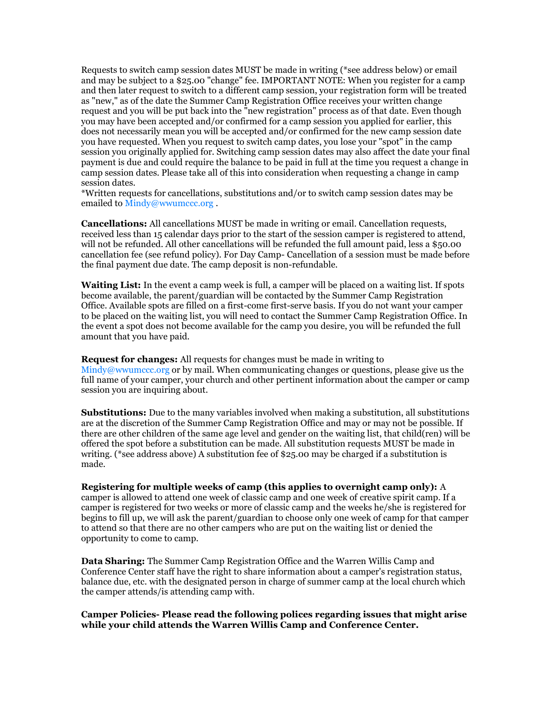Requests to switch camp session dates MUST be made in writing (\*see address below) or email and may be subject to a \$25.00 "change" fee. IMPORTANT NOTE: When you register for a camp and then later request to switch to a different camp session, your registration form will be treated as "new," as of the date the Summer Camp Registration Office receives your written change request and you will be put back into the "new registration" process as of that date. Even though you may have been accepted and/or confirmed for a camp session you applied for earlier, this does not necessarily mean you will be accepted and/or confirmed for the new camp session date you have requested. When you request to switch camp dates, you lose your "spot" in the camp session you originally applied for. Switching camp session dates may also affect the date your final payment is due and could require the balance to be paid in full at the time you request a change in camp session dates. Please take all of this into consideration when requesting a change in camp session dates.

\*Written requests for cancellations, substitutions and/or to switch camp session dates may be emailed t[o Mindy@wwumccc.org](mailto:Mindy@wwumccc.org).

**Cancellations:** All cancellations MUST be made in writing or email. Cancellation requests, received less than 15 calendar days prior to the start of the session camper is registered to attend, will not be refunded. All other cancellations will be refunded the full amount paid, less a \$50.00 cancellation fee (see refund policy). For Day Camp- Cancellation of a session must be made before the final payment due date. The camp deposit is non-refundable.

**Waiting List:** In the event a camp week is full, a camper will be placed on a waiting list. If spots become available, the parent/guardian will be contacted by the Summer Camp Registration Office. Available spots are filled on a first-come first-serve basis. If you do not want your camper to be placed on the waiting list, you will need to contact the Summer Camp Registration Office. In the event a spot does not become available for the camp you desire, you will be refunded the full amount that you have paid.

**Request for changes:** All requests for changes must be made in writing to  $\text{Midy@wwwumccc.org}$  or by mail. When communicating changes or questions, please give us the full name of your camper, your church and other pertinent information about the camper or camp session you are inquiring about.

**Substitutions:** Due to the many variables involved when making a substitution, all substitutions are at the discretion of the Summer Camp Registration Office and may or may not be possible. If there are other children of the same age level and gender on the waiting list, that child(ren) will be offered the spot before a substitution can be made. All substitution requests MUST be made in writing. (\*see address above) A substitution fee of \$25.00 may be charged if a substitution is made.

**Registering for multiple weeks of camp (this applies to overnight camp only):** A camper is allowed to attend one week of classic camp and one week of creative spirit camp. If a camper is registered for two weeks or more of classic camp and the weeks he/she is registered for begins to fill up, we will ask the parent/guardian to choose only one week of camp for that camper to attend so that there are no other campers who are put on the waiting list or denied the opportunity to come to camp.

**Data Sharing:** The Summer Camp Registration Office and the Warren Willis Camp and Conference Center staff have the right to share information about a camper's registration status, balance due, etc. with the designated person in charge of summer camp at the local church which the camper attends/is attending camp with.

#### **Camper Policies- Please read the following polices regarding issues that might arise while your child attends the Warren Willis Camp and Conference Center.**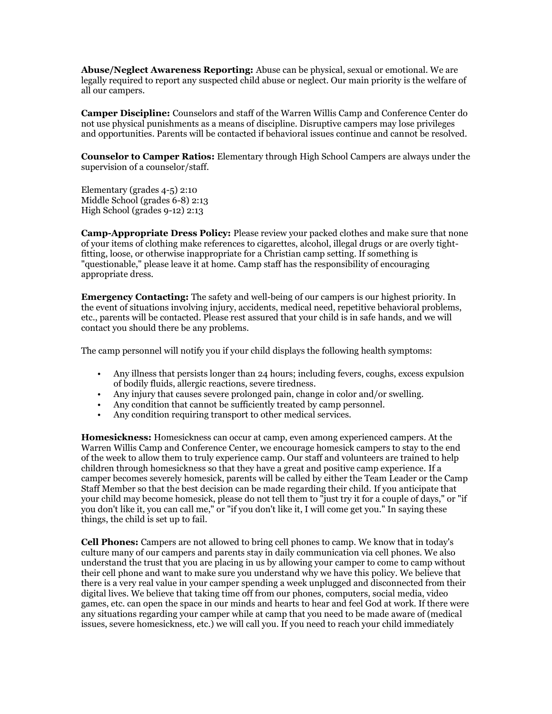**Abuse/Neglect Awareness Reporting:** Abuse can be physical, sexual or emotional. We are legally required to report any suspected child abuse or neglect. Our main priority is the welfare of all our campers.

**Camper Discipline:** Counselors and staff of the Warren Willis Camp and Conference Center do not use physical punishments as a means of discipline. Disruptive campers may lose privileges and opportunities. Parents will be contacted if behavioral issues continue and cannot be resolved.

**Counselor to Camper Ratios:** Elementary through High School Campers are always under the supervision of a counselor/staff.

Elementary (grades 4-5) 2:10 Middle School (grades 6-8) 2:13 High School (grades 9-12) 2:13

**Camp-Appropriate Dress Policy:** Please review your packed clothes and make sure that none of your items of clothing make references to cigarettes, alcohol, illegal drugs or are overly tightfitting, loose, or otherwise inappropriate for a Christian camp setting. If something is "questionable," please leave it at home. Camp staff has the responsibility of encouraging appropriate dress.

**Emergency Contacting:** The safety and well-being of our campers is our highest priority. In the event of situations involving injury, accidents, medical need, repetitive behavioral problems, etc., parents will be contacted. Please rest assured that your child is in safe hands, and we will contact you should there be any problems.

The camp personnel will notify you if your child displays the following health symptoms:

- Any illness that persists longer than 24 hours; including fevers, coughs, excess expulsion of bodily fluids, allergic reactions, severe tiredness.
- Any injury that causes severe prolonged pain, change in color and/or swelling.
- Any condition that cannot be sufficiently treated by camp personnel.
- Any condition requiring transport to other medical services.

**Homesickness:** Homesickness can occur at camp, even among experienced campers. At the Warren Willis Camp and Conference Center, we encourage homesick campers to stay to the end of the week to allow them to truly experience camp. Our staff and volunteers are trained to help children through homesickness so that they have a great and positive camp experience. If a camper becomes severely homesick, parents will be called by either the Team Leader or the Camp Staff Member so that the best decision can be made regarding their child. If you anticipate that your child may become homesick, please do not tell them to "just try it for a couple of days," or "if you don't like it, you can call me," or "if you don't like it, I will come get you." In saying these things, the child is set up to fail.

**Cell Phones:** Campers are not allowed to bring cell phones to camp. We know that in today's culture many of our campers and parents stay in daily communication via cell phones. We also understand the trust that you are placing in us by allowing your camper to come to camp without their cell phone and want to make sure you understand why we have this policy. We believe that there is a very real value in your camper spending a week unplugged and disconnected from their digital lives. We believe that taking time off from our phones, computers, social media, video games, etc. can open the space in our minds and hearts to hear and feel God at work. If there were any situations regarding your camper while at camp that you need to be made aware of (medical issues, severe homesickness, etc.) we will call you. If you need to reach your child immediately